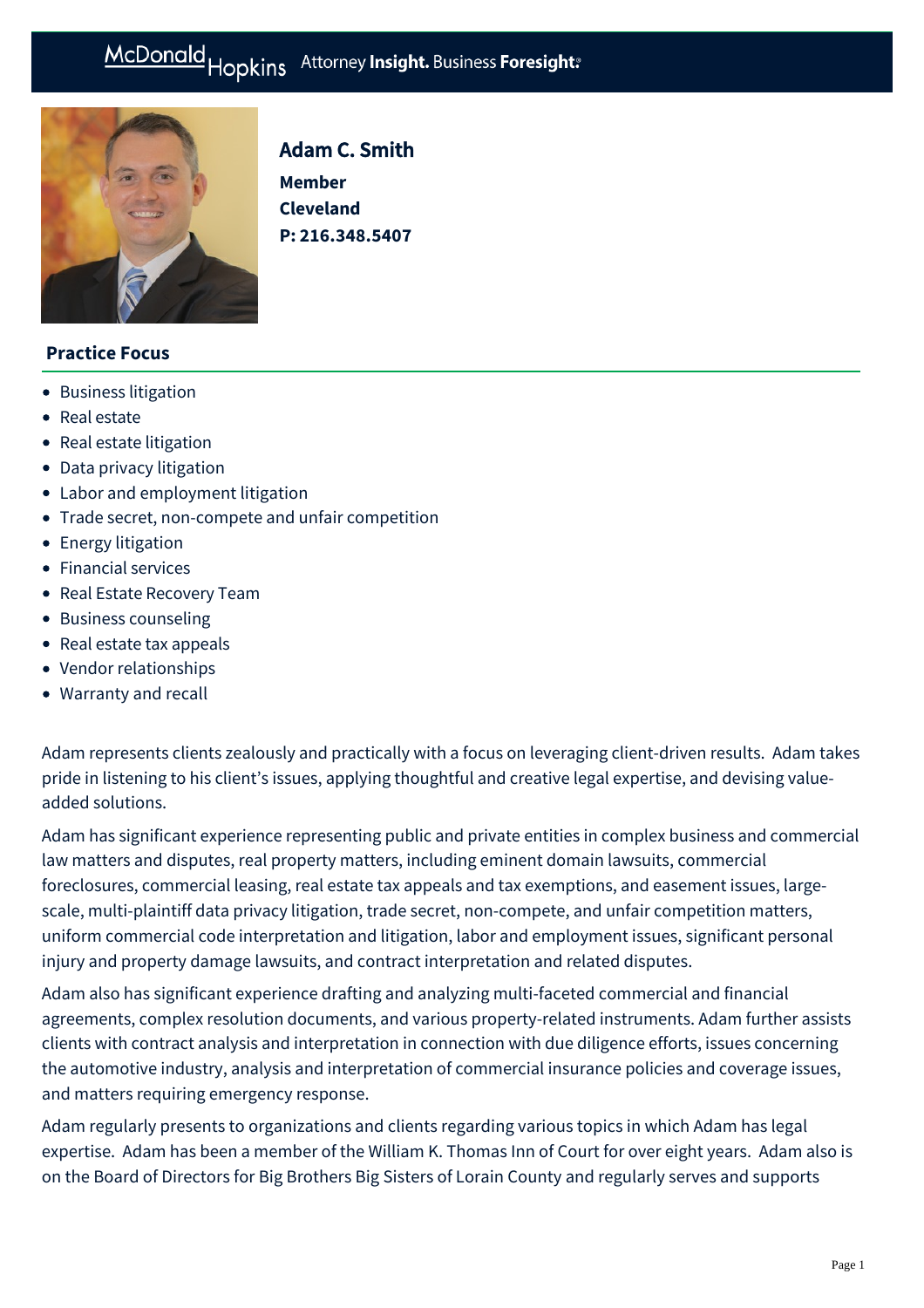# McDonald Hopkins Attorney Insight. Business Foresight:



# Adam C. Smith

**Member Cleveland P: [216.348.5407](tel:216.348.5407)**

# **Practice Focus**

- [Business litigation](https://mcdonaldhopkins.com/Expertise/Litigation/Business-litigation)
- [Real estate](https://mcdonaldhopkins.com/Expertise/Real-estate)
- [Real estate litigation](https://mcdonaldhopkins.com/Expertise/Real-estate/Real-estate-litigation)
- [Data privacy litigation](https://mcdonaldhopkins.com/Expertise/Data-privacy-and-cybersecurity/Data-privacy-litigation)
- [Labor and employment litigation](https://mcdonaldhopkins.com/Expertise/Labor-and-employment/Labor-and-employment-litigation)
- [Trade secret, non-compete and unfair competition](https://mcdonaldhopkins.com/Expertise/Litigation/Tradesecret-noncompete-unfair-competition)
- [Energy litigation](https://mcdonaldhopkins.com/Expertise/Litigation/Energy-litigation)
- [Financial services](https://mcdonaldhopkins.com/Expertise/Industries/Financial-services)
- [Real Estate Recovery Team](https://mcdonaldhopkins.com/Expertise/Real-estate/Real-Estate-Recovery-Team)
- [Business counseling](https://mcdonaldhopkins.com/Expertise/Business-counseling)
- [Real estate tax appeals](https://mcdonaldhopkins.com/Expertise/Real-estate/Real-estate-tax-appeals)
- [Vendor relationships](https://mcdonaldhopkins.com/Expertise/Data-privacy-and-cybersecurity/Vendor-relationships)
- [Warranty and recall](https://mcdonaldhopkins.com/Expertise/Litigation/Warranty-and-recall)

Adam represents clients zealously and practically with a focus on leveraging client-driven results. Adam takes pride in listening to his client's issues, applying thoughtful and creative legal expertise, and devising valueadded solutions.

Adam has significant experience representing public and private entities in complex business and commercial law matters and disputes, real property matters, including eminent domain lawsuits, commercial foreclosures, commercial leasing, real estate tax appeals and tax exemptions, and easement issues, largescale, multi-plaintiff data privacy litigation, trade secret, non-compete, and unfair competition matters, uniform commercial code interpretation and litigation, labor and employment issues, significant personal injury and property damage lawsuits, and contract interpretation and related disputes.

Adam also has significant experience drafting and analyzing multi-faceted commercial and financial agreements, complex resolution documents, and various property-related instruments. Adam further assists clients with contract analysis and interpretation in connection with due diligence efforts, issues concerning the automotive industry, analysis and interpretation of commercial insurance policies and coverage issues, and matters requiring emergency response.

Adam regularly presents to organizations and clients regarding various topics in which Adam has legal expertise. Adam has been a member of the William K. Thomas Inn of Court for over eight years. Adam also is on the Board of Directors for Big Brothers Big Sisters of Lorain County and regularly serves and supports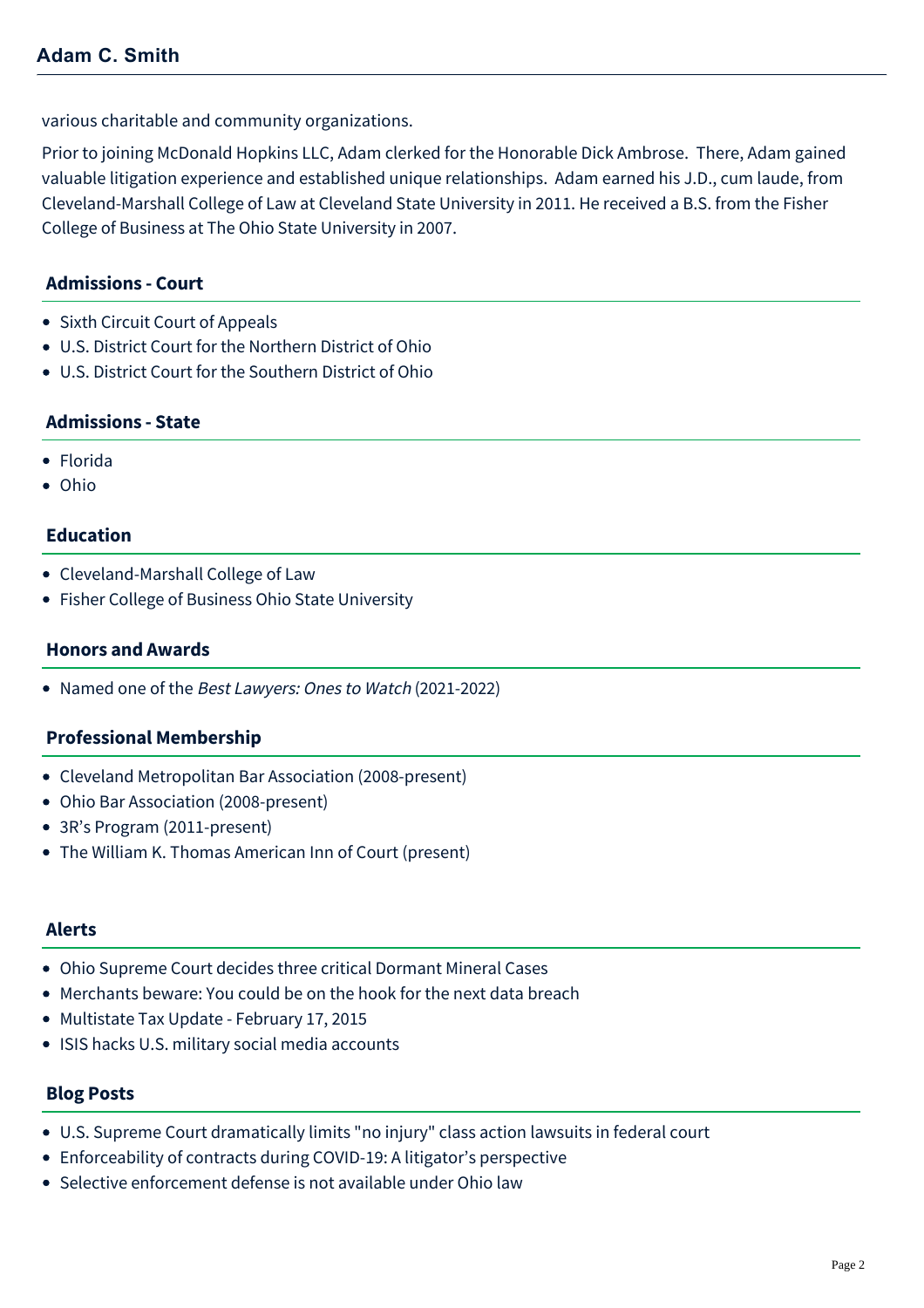various charitable and community organizations.

Prior to joining McDonald Hopkins LLC, Adam clerked for the Honorable Dick Ambrose. There, Adam gained valuable litigation experience and established unique relationships. Adam earned his J.D., cum laude, from Cleveland-Marshall College of Law at Cleveland State University in 2011. He received a B.S. from the Fisher College of Business at The Ohio State University in 2007.

# **Admissions - Court**

- Sixth Circuit Court of Appeals
- U.S. District Court for the Northern District of Ohio
- U.S. District Court for the Southern District of Ohio

## **Admissions - State**

- Florida
- Ohio

# **Education**

- Cleveland-Marshall College of Law
- Fisher College of Business Ohio State University

## **Honors and Awards**

• Named one of the Best Lawyers: Ones to Watch (2021-2022)

# **Professional Membership**

- Cleveland Metropolitan Bar Association (2008-present)
- Ohio Bar Association (2008-present)
- 3R's Program (2011-present)
- The William K. Thomas American Inn of Court (present)

#### **Alerts**

- [Ohio Supreme Court decides three critical Dormant Mineral Cases](https://mcdonaldhopkins.com/Insights/September-2016/Ohio-Supreme-Court-decides-three-critical-Dormant)
- [Merchants beware: You could be on the hook for the next data breach](https://mcdonaldhopkins.com/Insights/August-2015/Data-Privacy-and-Cybersecurity-Merchants-beware-Yo)
- [Multistate Tax Update February 17, 2015](https://mcdonaldhopkins.com/Insights/Febrary-2015/Multistate-Tax-Update-February-17-2015)
- [ISIS hacks U.S. military social media accounts](https://mcdonaldhopkins.com/Insights/January-2015/Data-Privacy-and-Cybersecurity-Alert-ISIS-hacks-US)

#### **Blog Posts**

- [U.S. Supreme Court dramatically limits "no injury" class action lawsuits in federal court](https://mcdonaldhopkins.com/Insights/June-2021/US-Supreme-Court-dramatically-limits-no-injury-cla)
- [Enforceability of contracts during COVID-19: A litigator's perspective](https://mcdonaldhopkins.com/Insights/March-2020/Enforceability-of-contracts-during-COVID-19-a-liti)
- [Selective enforcement defense is not available under Ohio law](https://mcdonaldhopkins.com/Insights/July-2017/Selective-enforcement-defense-is-not-available-und)